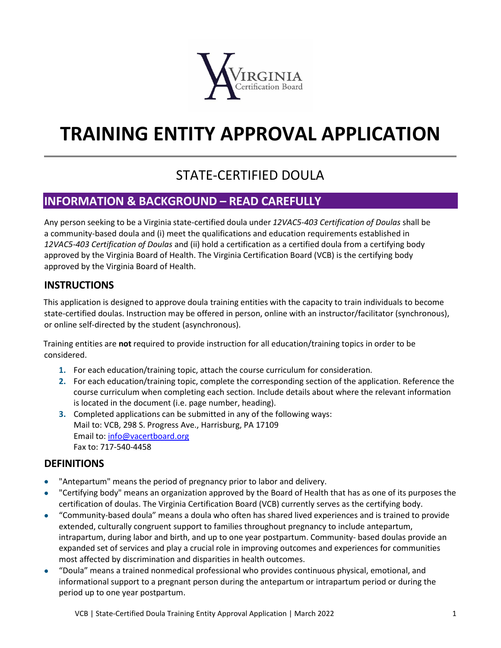

# **TRAINING ENTITY APPROVAL APPLICATION**

## STATE-CERTIFIED DOULA

## **INFORMATION & BACKGROUND – READ CAREFULLY**

Any person seeking to be a Virginia state-certified doula under *12VAC5-403 Certification of Doulas* shall be a community-based doula and (i) meet the qualifications and education requirements established in *12VAC5-403 Certification of Doulas* and (ii) hold a certification as a certified doula from a certifying body approved by the Virginia Board of Health. The Virginia Certification Board (VCB) is the certifying body approved by the Virginia Board of Health.

#### **INSTRUCTIONS**

This application is designed to approve doula training entities with the capacity to train individuals to become state-certified doulas. Instruction may be offered in person, online with an instructor/facilitator (synchronous), or online self-directed by the student (asynchronous).

Training entities are **not** required to provide instruction for all education/training topics in order to be considered.

- **1.** For each education/training topic, attach the course curriculum for consideration.
- **2.** For each education/training topic, complete the corresponding section of the application. Reference the course curriculum when completing each section. Include details about where the relevant information is located in the document (i.e. page number, heading).
- **3.** Completed applications can be submitted in any of the following ways: Mail to: VCB, 298 S. Progress Ave., Harrisburg, PA 17109 Email to: [info@vacertboard.org](mailto:info@vacertboard.org) Fax to: 717-540-4458

#### **DEFINITIONS**

- "Antepartum" means the period of pregnancy prior to labor and delivery.
- "Certifying body" means an organization approved by the Board of Health that has as one of its purposes the certification of doulas. The Virginia Certification Board (VCB) currently serves as the certifying body.
- "Community-based doula" means a doula who often has shared lived experiences and is trained to provide extended, culturally congruent support to families throughout pregnancy to include antepartum, intrapartum, during labor and birth, and up to one year postpartum. Community- based doulas provide an expanded set of services and play a crucial role in improving outcomes and experiences for communities most affected by discrimination and disparities in health outcomes.
- "Doula" means a trained nonmedical professional who provides continuous physical, emotional, and informational support to a pregnant person during the antepartum or intrapartum period or during the period up to one year postpartum.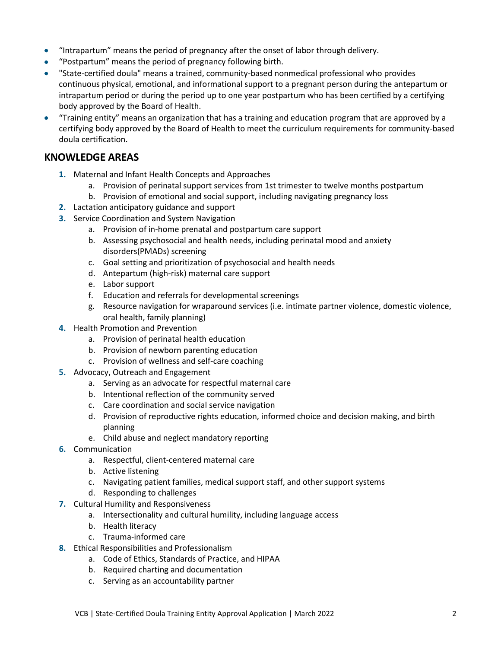- "Intrapartum" means the period of pregnancy after the onset of labor through delivery.
- "Postpartum" means the period of pregnancy following birth.
- "State-certified doula" means a trained, community-based nonmedical professional who provides continuous physical, emotional, and informational support to a pregnant person during the antepartum or intrapartum period or during the period up to one year postpartum who has been certified by a certifying body approved by the Board of Health.
- "Training entity" means an organization that has a training and education program that are approved by a certifying body approved by the Board of Health to meet the curriculum requirements for community-based doula certification.

#### **KNOWLEDGE AREAS**

- **1.** Maternal and Infant Health Concepts and Approaches
	- a. Provision of perinatal support services from 1st trimester to twelve months postpartum
	- b. Provision of emotional and social support, including navigating pregnancy loss
- **2.** Lactation anticipatory guidance and support
- **3.** Service Coordination and System Navigation
	- a. Provision of in-home prenatal and postpartum care support
	- b. Assessing psychosocial and health needs, including perinatal mood and anxiety disorders(PMADs) screening
	- c. Goal setting and prioritization of psychosocial and health needs
	- d. Antepartum (high-risk) maternal care support
	- e. Labor support
	- f. Education and referrals for developmental screenings
	- g. Resource navigation for wraparound services (i.e. intimate partner violence, domestic violence, oral health, family planning)
- **4.** Health Promotion and Prevention
	- a. Provision of perinatal health education
	- b. Provision of newborn parenting education
	- c. Provision of wellness and self-care coaching
- **5.** Advocacy, Outreach and Engagement
	- a. Serving as an advocate for respectful maternal care
	- b. Intentional reflection of the community served
	- c. Care coordination and social service navigation
	- d. Provision of reproductive rights education, informed choice and decision making, and birth planning
	- e. Child abuse and neglect mandatory reporting
- **6.** Communication
	- a. Respectful, client-centered maternal care
	- b. Active listening
	- c. Navigating patient families, medical support staff, and other support systems
	- d. Responding to challenges
- **7.** Cultural Humility and Responsiveness
	- a. Intersectionality and cultural humility, including language access
	- b. Health literacy
	- c. Trauma-informed care
- **8.** Ethical Responsibilities and Professionalism
	- a. Code of Ethics, Standards of Practice, and HIPAA
	- b. Required charting and documentation
	- c. Serving as an accountability partner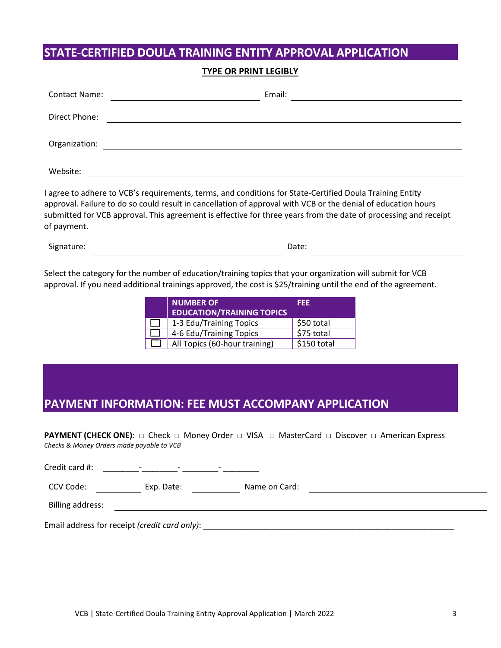#### **STATE-CERTIFIED DOULA TRAINING ENTITY APPROVAL APPLICATION**

#### **TYPE OR PRINT LEGIBLY**

| <b>Contact Name:</b> | Email: |
|----------------------|--------|
| Direct Phone:        |        |
| Organization:        |        |
| Website:             |        |

I agree to adhere to VCB's requirements, terms, and conditions for State-Certified Doula Training Entity approval. Failure to do so could result in cancellation of approval with VCB or the denial of education hours submitted for VCB approval. This agreement is effective for three years from the date of processing and receipt of payment.

Signature: Date:

Select the category for the number of education/training topics that your organization will submit for VCB approval. If you need additional trainings approved, the cost is \$25/training until the end of the agreement.

| <b>NUMBER OF</b>                 | FEE         |
|----------------------------------|-------------|
| <b>EDUCATION/TRAINING TOPICS</b> |             |
| 1-3 Edu/Training Topics          | \$50 total  |
| 4-6 Edu/Training Topics          | \$75 total  |
| All Topics (60-hour training)    | \$150 total |

### **PAYMENT INFORMATION: FEE MUST ACCOMPANY APPLICATION**

**PAYMENT (CHECK ONE):** □ Check □ Money Order □ VISA □ MasterCard □ Discover □ American Express *Checks & Money Orders made payable to VCB*

Email address for receipt *(credit card only)*: \_\_\_\_\_\_\_\_\_\_\_\_\_\_\_\_\_\_\_\_\_\_\_\_\_\_\_\_\_\_\_\_\_\_\_\_\_\_\_\_\_\_\_\_\_\_\_\_\_\_\_\_\_\_\_\_

Credit card #: \_\_\_\_\_\_\_\_-\_\_\_\_\_\_\_\_- \_\_\_\_\_\_\_\_- \_\_\_\_\_\_\_\_ CCV Code: Lexp. Date: Lexp. Date: Name on Card: Lexp. Date: Lexp. Date: Lexp. Date: Lexp. Date: Name on Card: Billing address: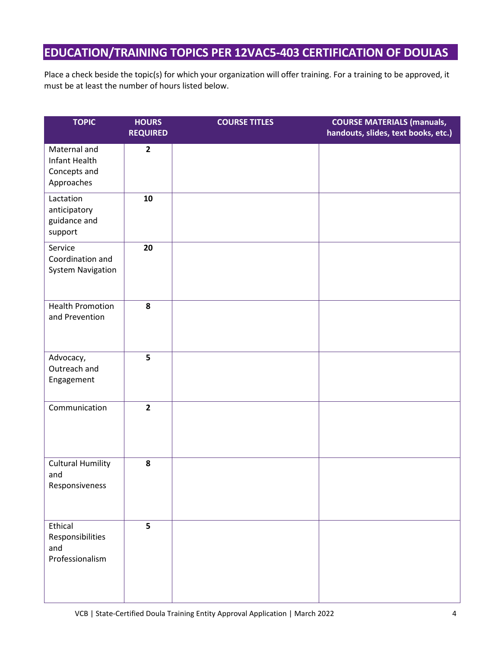## **EDUCATION/TRAINING TOPICS PER 12VAC5-403 CERTIFICATION OF DOULAS**

Place a check beside the topic(s) for which your organization will offer training. For a training to be approved, it must be at least the number of hours listed below.

| <b>TOPIC</b>                                                | <b>HOURS</b><br><b>REQUIRED</b> | <b>COURSE TITLES</b> | <b>COURSE MATERIALS (manuals,</b><br>handouts, slides, text books, etc.) |
|-------------------------------------------------------------|---------------------------------|----------------------|--------------------------------------------------------------------------|
| Maternal and<br>Infant Health<br>Concepts and<br>Approaches | $\overline{2}$                  |                      |                                                                          |
| Lactation<br>anticipatory<br>guidance and<br>support        | 10                              |                      |                                                                          |
| Service<br>Coordination and<br><b>System Navigation</b>     | 20                              |                      |                                                                          |
| <b>Health Promotion</b><br>and Prevention                   | 8                               |                      |                                                                          |
| Advocacy,<br>Outreach and<br>Engagement                     | 5                               |                      |                                                                          |
| Communication                                               | $\overline{2}$                  |                      |                                                                          |
| <b>Cultural Humility</b><br>and<br>Responsiveness           | 8                               |                      |                                                                          |
| Ethical<br>Responsibilities<br>and<br>Professionalism       | 5                               |                      |                                                                          |